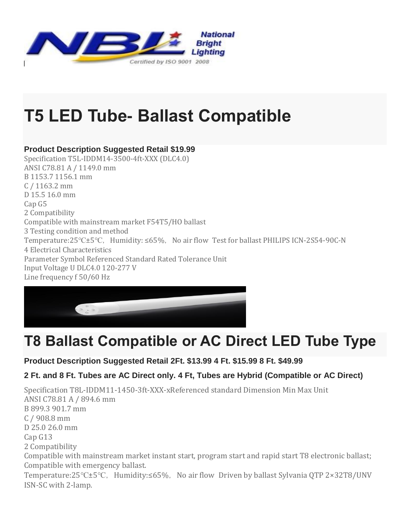

# **T5 LED Tube- Ballast Compatible**

### **Product Description Suggested Retail \$19.99**

Specification T5L-IDDM14-3500-4ft-XXX (DLC4.0) ANSI C78.81 A / 1149.0 mm B 1153.7 1156.1 mm C / 1163.2 mm D 15.5 16.0 mm Cap G5 2 Compatibility Compatible with mainstream market F54T5/HO ballast 3 Testing condition and method Temperature:25°C±5°C, Humidity: ≤65%, No air flow Test for ballast PHILIPS ICN-2S54-90C-N 4 Electrical Characteristics Parameter Symbol Referenced Standard Rated Tolerance Unit Input Voltage U DLC4.0 120-277 V Line frequency f 50/60 Hz



## **T8 Ballast Compatible or AC Direct LED Tube Type**

### **Product Description Suggested Retail 2Ft. \$13.99 4 Ft. \$15.99 8 Ft. \$49.99**

### **2 Ft. and 8 Ft. Tubes are AC Direct only. 4 Ft, Tubes are Hybrid (Compatible or AC Direct)**

Specification T8L-IDDM11-1450-3ft-XXX-xReferenced standard Dimension Min Max Unit ANSI C78.81 A / 894.6 mm B 899.3 901.7 mm C / 908.8 mm D 25.0 26.0 mm Cap G13 2 Compatibility Compatible with mainstream market instant start, program start and rapid start T8 electronic ballast; Compatible with emergency ballast. Temperature:25°C±5°C, Humidity:≤65%, No air flow Driven by ballast Sylvania QTP 2×32T8/UNV ISN-SC with 2-lamp.